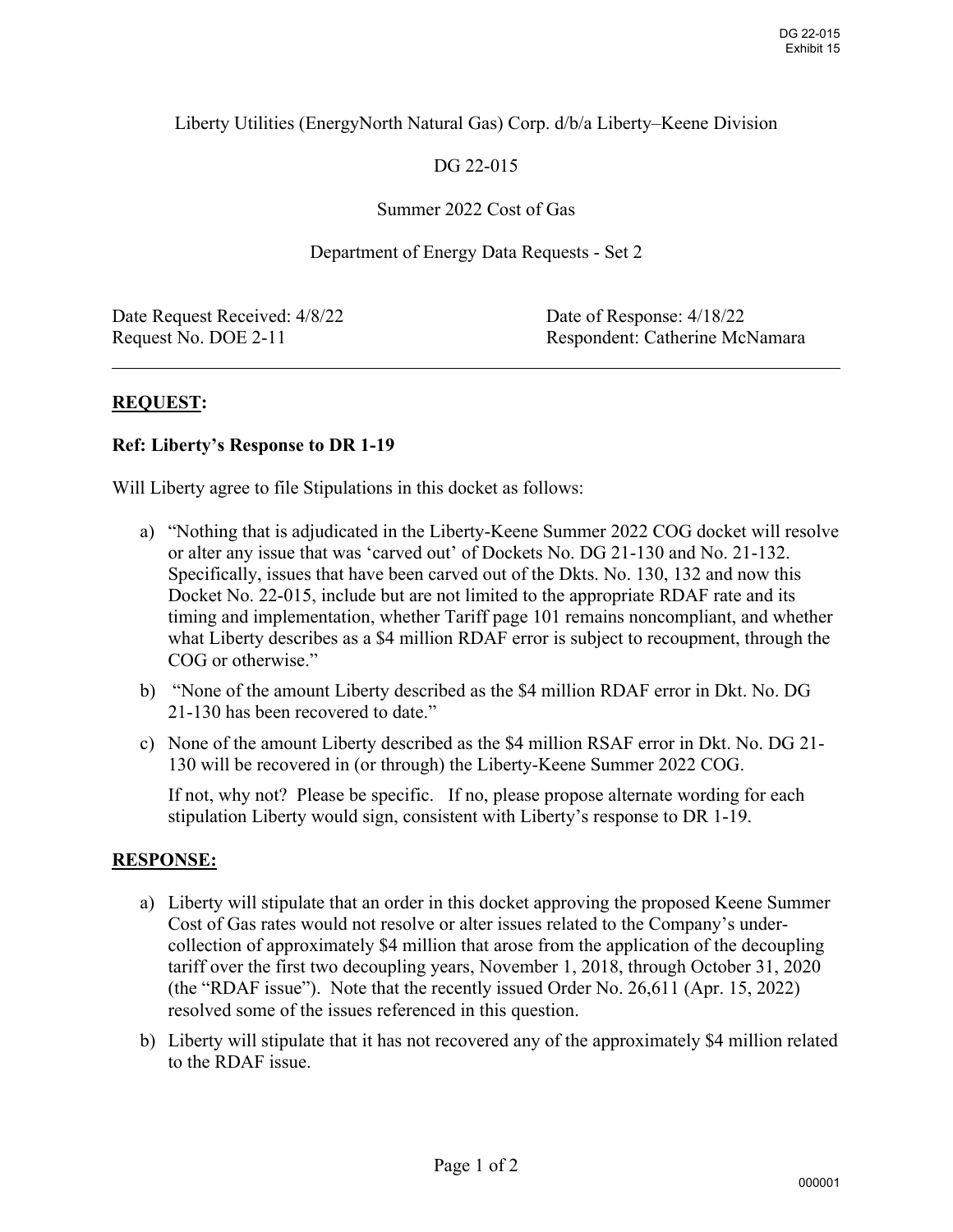### Liberty Utilities (EnergyNorth Natural Gas) Corp. d/b/a Liberty–Keene Division

# DG 22-015

### Summer 2022 Cost of Gas

#### Department of Energy Data Requests - Set 2

Date Request Received:  $4/8/22$  Date of Response:  $4/18/22$ 

Request No. DOE 2-11 Respondent: Catherine McNamara

 $\overline{a}$ 

## **REQUEST:**

#### **Ref: Liberty's Response to DR 1-19**

Will Liberty agree to file Stipulations in this docket as follows:

- a) "Nothing that is adjudicated in the Liberty-Keene Summer 2022 COG docket will resolve or alter any issue that was 'carved out' of Dockets No. DG 21-130 and No. 21-132. Specifically, issues that have been carved out of the Dkts. No. 130, 132 and now this Docket No. 22-015, include but are not limited to the appropriate RDAF rate and its timing and implementation, whether Tariff page 101 remains noncompliant, and whether what Liberty describes as a \$4 million RDAF error is subject to recoupment, through the COG or otherwise."
- b) "None of the amount Liberty described as the \$4 million RDAF error in Dkt. No. DG 21-130 has been recovered to date."
- c) None of the amount Liberty described as the \$4 million RSAF error in Dkt. No. DG 21- 130 will be recovered in (or through) the Liberty-Keene Summer 2022 COG.

If not, why not? Please be specific. If no, please propose alternate wording for each stipulation Liberty would sign, consistent with Liberty's response to DR 1-19.

### **RESPONSE:**

- a) Liberty will stipulate that an order in this docket approving the proposed Keene Summer Cost of Gas rates would not resolve or alter issues related to the Company's undercollection of approximately \$4 million that arose from the application of the decoupling tariff over the first two decoupling years, November 1, 2018, through October 31, 2020 (the "RDAF issue"). Note that the recently issued Order No. 26,611 (Apr. 15, 2022) resolved some of the issues referenced in this question.
- b) Liberty will stipulate that it has not recovered any of the approximately \$4 million related to the RDAF issue.